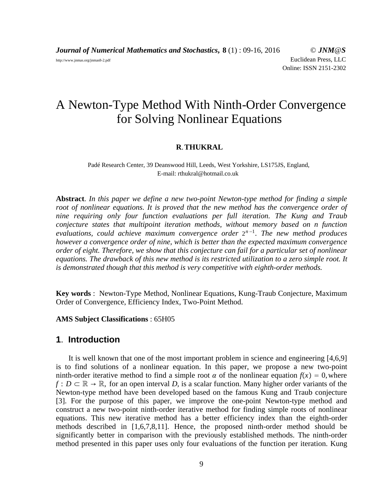*Journal of Numerical Mathematics and Stochastics***, 8** (1) : 09-16, 2016 © *JNM@S* http://www.jnmas.org/jnmas8-2.pdf Euclidean Press, LLC Online: ISSN 2151-2302

# A Newton-Type Method With Ninth-Order Convergence for Solving Nonlinear Equations

#### **R**.**THUKRAL**

Padé Research Center, 39 Deanswood Hill, Leeds, West Yorkshire, LS175JS, England, E-mail: rthukral@hotmail.co.uk

**Abstract**. *In this paper we define a new two-point Newton-type method for finding a simple root of nonlinear equations. It is proved that the new method has the convergence order of nine requiring only four function evaluations per full iteration. The Kung and Traub conjecture states that multipoint iteration methods, without memory based on n function evaluations, could achieve maximum convergence order*  $2^{n-1}$ *. The new method produces however a convergence order of nine, which is better than the expected maximum convergence order of eight. Therefore, we show that this conjecture can fail for a particular set of nonlinear equations. The drawback of this new method is its restricted utilization to a zero simple root. It is demonstrated though that this method is very competitive with eighth-order methods.*

**Key words** : Newton-Type Method, Nonlinear Equations, Kung-Traub Conjecture, Maximum Order of Convergence, Efficiency Index, Two-Point Method.

#### **AMS Subject Classifications** : 65H05

#### **1**. **Introduction**

It is well known that one of the most important problem in science and engineering [4,6,9] is to find solutions of a nonlinear equation. In this paper, we propose a new two-point ninth-order iterative method to find a simple root  $\alpha$  of the nonlinear equation  $f(x) = 0$ , where *f* : *D* ⊂  $\mathbb{R}$  →  $\mathbb{R}$ , for an open interval *D*, is a scalar function. Many higher order variants of the Newton-type method have been developed based on the famous Kung and Traub conjecture [3]. For the purpose of this paper, we improve the one-point Newton-type method and construct a new two-point ninth-order iterative method for finding simple roots of nonlinear equations. This new iterative method has a better efficiency index than the eighth-order methods described in [1,6,7,8,11]. Hence, the proposed ninth-order method should be significantly better in comparison with the previously established methods. The ninth-order method presented in this paper uses only four evaluations of the function per iteration. Kung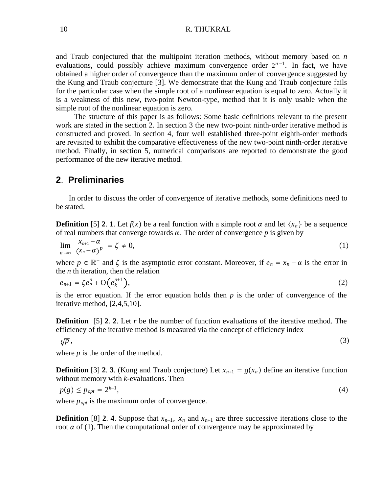and Traub conjectured that the multipoint iteration methods, without memory based on *n* evaluations, could possibly achieve maximum convergence order  $2^{n-1}$ . In fact, we have obtained a higher order of convergence than the maximum order of convergence suggested by the Kung and Traub conjecture [3]. We demonstrate that the Kung and Traub conjecture fails for the particular case when the simple root of a nonlinear equation is equal to zero. Actually it is a weakness of this new, two-point Newton-type, method that it is only usable when the simple root of the nonlinear equation is zero.

The structure of this paper is as follows: Some basic definitions relevant to the present work are stated in the section 2. In section 3 the new two-point ninth-order iterative method is constructed and proved. In section 4, four well established three-point eighth-order methods are revisited to exhibit the comparative effectiveness of the new two-point ninth-order iterative method. Finally, in section 5, numerical comparisons are reported to demonstrate the good performance of the new iterative method*.*

### **2**. **Preliminaries**

In order to discuss the order of convergence of iterative methods, some definitions need to be stated.

**Definition** [5] **2**. **1**. Let  $f(x)$  be a real function with a simple root  $\alpha$  and let  $\{x_n\}$  be a sequence of real numbers that converge towards  $\alpha$ . The order of convergence  $p$  is given by

$$
\lim_{n \to \infty} \frac{x_{n+1} - \alpha}{\left(x_n - \alpha\right)^p} = \zeta \neq 0,
$$
\n(1)

where  $p \in \mathbb{R}^+$  and  $\zeta$  is the asymptotic error constant. Moreover, if  $e_n = x_n - \alpha$  is the error in the  $n$  th iteration, then the relation

$$
e_{n+1} = \zeta e_n^p + \mathcal{O}\Big(e_k^{p+1}\Big),\tag{2}
$$

is the error equation. If the error equation holds then  $p$  is the order of convergence of the iterative method, [2,4,5,10].

**Definition** [5] **2**. **2**. Let *r* be the number of function evaluations of the iterative method. The efficiency of the iterative method is measured via the concept of efficiency index

$$
\sqrt[p]{p} \,,\tag{3}
$$

where *p* is the order of the method.

**Definition** [3] **2. 3.** (Kung and Traub conjecture) Let  $x_{n+1} = g(x_n)$  define an iterative function without memory with *k*-evaluations. Then

$$
p(g) \le p_{opt} = 2^{k-1},\tag{4}
$$

where  $p_{opt}$  is the maximum order of convergence.

**Definition** [8] **2**. **4**. Suppose that  $x_{n-1}$ ,  $x_n$  and  $x_{n+1}$  are three successive iterations close to the root  $\alpha$  of (1). Then the computational order of convergence may be approximated by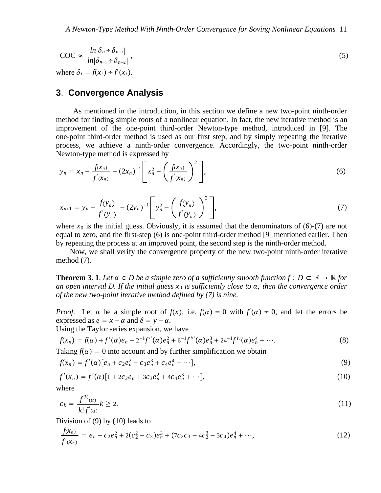$$
\text{COC} \approx \frac{\ln|\delta_n \div \delta_{n-1}|}{\ln|\delta_{n-1} \div \delta_{n-2}|},
$$
\n
$$
\text{where } \delta_i = f(x_i) \div f(x_i).
$$
\n(5)

### **3**. **Convergence Analysis**

As mentioned in the introduction, in this section we define a new two-point ninth-order method for finding simple roots of a nonlinear equation. In fact, the new iterative method is an improvement of the one-point third-order Newton-type method, introduced in [9]. The one-point third-order method is used as our first step, and by simply repeating the iterative process, we achieve a ninth-order convergence. Accordingly, the two-point ninth-order Newton-type method is expressed by

$$
y_n = x_n - \frac{f(x_n)}{f'(x_n)} - (2x_n)^{-1} \left[ x_n^2 - \left( \frac{f(x_n)}{f'(x_n)} \right)^2 \right],
$$
 (6)

$$
x_{n+1} = y_n - \frac{f(y_n)}{f'(y_n)} - (2y_n)^{-1} \left[ y_n^2 - \left( \frac{f(y_n)}{f'(y_n)} \right)^2 \right],
$$
 (7)

where  $x_0$  is the initial guess. Obviously, it is assumed that the denominators of (6)-(7) are not equal to zero, and the first-step (6) is one-point third-order method [9] mentioned earlier. Then by repeating the process at an improved point, the second step is the ninth-order method.

Now, we shall verify the convergence property of the new two-point ninth-order iterative method (7).

**Theorem 3. 1**. Let  $\alpha \in D$  be a simple zero of a sufficiently smooth function  $f : D \subset \mathbb{R} \to \mathbb{R}$  for *an open interval D. If the initial guess*  $x_0$  *is sufficiently close to*  $\alpha$ *, then the convergence order of the new two-point iterative method defined by (7) is nine.*

*Proof.* Let  $\alpha$  be a simple root of  $f(x)$ , i.e.  $f(\alpha) = 0$  with  $f'(\alpha) \neq 0$ , and let the errors be expressed as  $e = x - \alpha$  and  $\hat{e} = y - \alpha$ .

Using the Taylor series expansion, we have

$$
f(x_n) = f(\alpha) + f'(\alpha)e_n + 2^{-1}f''(\alpha)e_n^2 + 6^{-1}f'''(\alpha)e_n^3 + 24^{-1}f^{iv}(\alpha)e_n^4 + \cdots
$$
\n(8)

Taking  $f(\alpha) = 0$  into account and by further simplification we obtain

$$
f(x_n) = f'(\alpha)[e_n + c_2e_n^2 + c_3e_n^3 + c_4e_n^4 + \cdots],
$$
\n(9)

$$
f'(x_n) = f'(\alpha)[1 + 2c_2e_n + 3c_3e_n^2 + 4c_4e_n^3 + \cdots],
$$
\n(10)

where

$$
c_k = \frac{f^{(k)}(a)}{k! f^{(k)}(a)} \quad k \ge 2. \tag{11}
$$

Division of (9) by (10) leads to

$$
\frac{f(x_n)}{f'(x_n)} = e_n - c_2 e_n^2 + 2(c_2^2 - c_3)e_n^3 + (7c_2c_3 - 4c_2^3 - 3c_4)e_n^4 + \cdots,
$$
\n(12)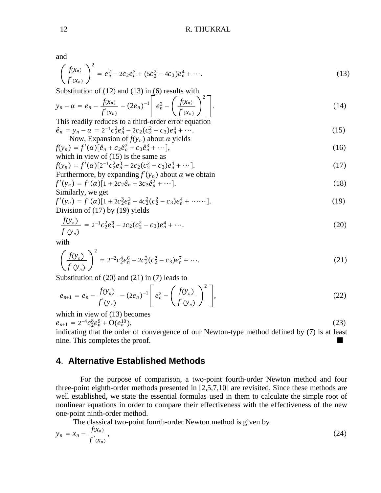and

$$
\left(\frac{f(x_n)}{f'(x_n)}\right)^2 = e_n^2 - 2c_2e_n^3 + (5c_2^2 - 4c_3)e_n^4 + \cdots
$$
\n(13)

Substitution of (12) and (13) in (6) results with

$$
y_n - \alpha = e_n - \frac{f(x_n)}{f'(x_n)} - (2e_n)^{-1} \left[ e_n^2 - \left( \frac{f(x_n)}{f'(x_n)} \right)^2 \right].
$$
 (14)

This readily reduces to a third-order error equation  
\n
$$
\hat{e}_n = y_n - \alpha = 2^{-1}c_2^2 e_n^3 - 2c_2(c_2^2 - c_3)e_n^4 + \cdots
$$
\n(15)

Now, Expansion of 
$$
f(y_n)
$$
 about  $\alpha$  yields  
\n
$$
f(y_n) = f'(\alpha)[\hat{e}_n + c_2\hat{e}_n^2 + c_3\hat{e}_n^3 + \cdots],
$$
\n(16)

which in view of (15) is the same as  
\n
$$
f(y_n) = f'(\alpha)[2^{-1}c_2^2e_n^3 - 2c_2(c_2^2 - c_3)e_n^4 + \cdots].
$$
\n(17)

Furthermore, by expanding 
$$
f'(y_n)
$$
 about  $\alpha$  we obtain  
\n
$$
f'(y_n) = f'(\alpha)[1 + 2c_2\hat{e}_n + 3c_3\hat{e}_n^2 + \cdots].
$$
\n(18)

$$
f'(y_n) = f'(\alpha)[1 + 2c_2\hat{e}_n + 3c_3\hat{e}_n^2 + \cdots].
$$
  
Similarly, we get

$$
f'(y_n) = f'(\alpha)[1 + 2c_2^3e_n^3 - 4c_2^2(c_2^2 - c_3)e_n^4 + \cdots].
$$
  
Division of (17) by (19) yields

$$
\frac{f(y_n)}{f'(y_n)} = 2^{-1}c_2^2e_n^3 - 2c_2(c_2^2 - c_3)e_n^4 + \cdots.
$$
\n(20)

with

$$
\left(\frac{f(y_n)}{f'(y_n)}\right)^2 = 2^{-2}c_2^4e_n^6 - 2c_2^3(c_2^2 - c_3)e_n^7 + \cdots.
$$
\n(21)

Substitution of (20) and (21) in (7) leads to

$$
e_{n+1} = e_n - \frac{f(y_n)}{f'(y_n)} - (2e_n)^{-1} \left[ e_n^2 - \left( \frac{f(y_n)}{f'(y_n)} \right)^2 \right],
$$
 (22)

which in view of (13) becomes

$$
e_{n+1} = 2^{-4} c_2^8 e_n^9 + \mathcal{O}(e_n^{10}), \tag{23}
$$

indicating that the order of convergence of our Newton-type method defined by (7) is at least nine. This completes the proof.

# **4**. **Alternative Established Methods**

For the purpose of comparison, a two-point fourth-order Newton method and four three-point eighth-order methods presented in [2,5,7,10] are revisited. Since these methods are well established, we state the essential formulas used in them to calculate the simple root of nonlinear equations in order to compare their effectiveness with the effectiveness of the new one-point ninth-order method.

The classical two-point fourth-order Newton method is given by

$$
y_n = x_n - \frac{f(x_n)}{f'(x_n)},
$$
\n(24)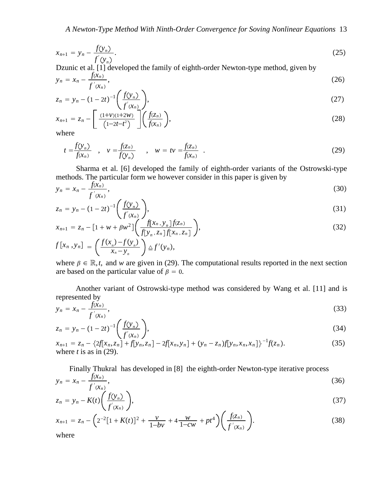$$
x_{n+1} = y_n - \frac{f(y_n)}{f'(y_n)}.
$$
 (25)

Dzunic et al. [1] developed the family of eighth-order Newton-type method, given by  $y_n = x_n - \frac{f(x_n)}{n}$  $, (26)$ 

$$
f'(x_n)
$$
  
\n
$$
z_n = y_n - (1 - 2t)^{-1} \left( \frac{f(y_n)}{f'(x_n)} \right),
$$
\n(27)

$$
x_{n+1} = z_n - \left[ \frac{(1+v)(1+2w)}{(1-2t-t^2)} \right] \left( \frac{f(z_n)}{f(x_n)} \right),
$$
\nwhere

\n(28)

where

$$
t = \frac{f(y_n)}{f(x_n)} \quad , \quad v = \frac{f(z_n)}{f(y_n)} \quad , \quad w = tv = \frac{f(z_n)}{f(x_n)} \quad . \tag{29}
$$

Sharma et al. [6] developed the family of eighth-order variants of the Ostrowski-type methods. The particular form we however consider in this paper is given by

$$
y_n = x_n - \frac{f(x_n)}{f'(x_n)},
$$
\n(30)

$$
z_n = y_n - (1 - 2t)^{-1} \left( \frac{f(y_n)}{f'(x_n)} \right),
$$
\n(31)

$$
x_{n+1} = z_n - [1 + w + \beta w^2] \left( \frac{f[x_n, y_n] f(z_n)}{f[y_n, z_n] f[x_n, z_n]} \right),
$$
\n(32)

$$
f[x_n, y_n] = \left(\frac{f(x_n) - f(y_n)}{x_n - y_n}\right) \triangle f'(y_n),
$$

where  $\beta \in \mathbb{R}$ , *t*, and *w* are given in (29). The computational results reported in the next section are based on the particular value of  $\beta = 0$ .

Another variant of Ostrowski-type method was considered by Wang et al. [11] and is represented by

$$
y_n = x_n - \frac{f(x_n)}{f'(x_n)},
$$
\n(33)

$$
z_n = y_n - (1 - 2t)^{-1} \left( \frac{f(y_n)}{f'(x_n)} \right), \tag{34}
$$

$$
x_{n+1} = z_n - \{2f[x_n, z_n] + f[y_n, z_n] - 2f[x_n, y_n] + (y_n - z_n)f[y_n, x_n, x_n]\}^{-1}f(z_n).
$$
 (35)  
where *t* is as in (29).

Finally Thukral has developed in [8] the eighth-order Newton-type iterative process

$$
y_n = x_n - \frac{f(x_n)}{f'(x_n)},
$$
\n(36)

$$
z_n = y_n - K(t) \left( \frac{f(y_n)}{f'(x_n)} \right),\tag{37}
$$

$$
x_{n+1} = z_n - \left(2^{-2}\left[1 + K(t)\right]^2 + \frac{\nu}{1 - bv} + 4\frac{w}{1 - cw} + pt^4\right)\left(\frac{f(z_n)}{f'(x_n)}\right).
$$
\n(38)

where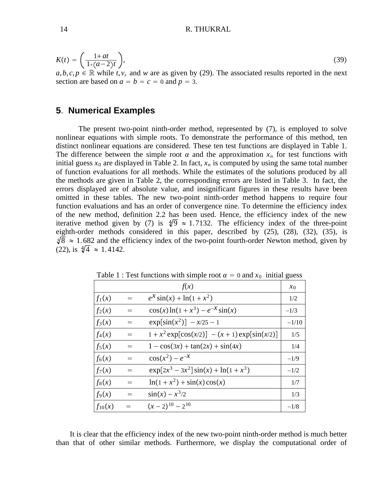$$
K(t) = \left(\frac{1+at}{1+(a-2)t}\right),\tag{39}
$$

 $a, b, c, p \in \mathbb{R}$  while *t*, *v*, and *w* are as given by (29). The associated results reported in the next section are based on  $a = b = c = 0$  and  $p = 3$ .

## **5**. **Numerical Examples**

The present two-point ninth-order method, represented by (7), is employed to solve nonlinear equations with simple roots. To demonstrate the performance of this method, ten distinct nonlinear equations are considered. These ten test functions are displayed in Table 1. The difference between the simple root  $\alpha$  and the approximation  $x_n$  for test functions with initial guess  $x_0$  are displayed in Table 2. In fact,  $x_n$  is computed by using the same total number of function evaluations for all methods. While the estimates of the solutions produced by all the methods are given in Table 2, the corresponding errors are listed in Table 3. In fact, the errors displayed are of absolute value, and insignificant figures in these results have been omitted in these tables. The new two-point ninth-order method happens to require four function evaluations and has an order of convergence nine. To determine the efficiency index of the new method, definition 2.2 has been used. Hence, the efficiency index of the new iterative method given by (7) is  $\sqrt[4]{9} \approx 1.7132$ . The efficiency index of the three-point eighth-order methods considered in this paper, described by (25), (28), (32), (35), is  $\sqrt[4]{8} \approx 1.682$  and the efficiency index of the two-point fourth-order Newton method, given by (22), is  $\sqrt[4]{4} \approx 1.4142$ .

|             |     | f(x)                                                | $x_0$   |
|-------------|-----|-----------------------------------------------------|---------|
| $f_1(x)$    | $=$ | $e^{x} \sin(x) + \ln(1 + x^2)$                      | 1/2     |
| $f_2(x)$    | $=$ | $\cos(x) \ln(1 + x^3) - e^{-x} \sin(x)$             | $-1/3$  |
| $f_3(x)$    |     | $\exp[\sin(x^2)] - x/25 - 1$                        | $-1/10$ |
| $f_4(x)$    |     | $1 + x^2 \exp[\cos(x/2)] - (x + 1) \exp[\sin(x/2)]$ | 1/5     |
| $f_5(x)$    | $=$ | $1 - \cos(3x) + \tan(2x) + \sin(4x)$                | 1/4     |
| $f_6(x)$    | $=$ | $\cos(x^2) - e^{-x}$                                | $-1/9$  |
| $f_7(x)$    | $=$ | $\exp[2x^3 - 3x^2] \sin(x) + \ln(1 + x^3)$          | $-1/2$  |
| $f_8(x)$    | $=$ | $\ln(1 + x^2) + \sin(x) \cos(x)$                    | 1/7     |
| $f_9(x)$    | $=$ | $\sin(x) - x^3/2$                                   | 1/3     |
| $f_{10}(x)$ | $=$ | $(x-2)^{10}$ – 2 <sup>10</sup>                      | $-1/8$  |

Table 1 : Test functions with simple root  $\alpha = 0$  and  $x_0$  initial guess

It is clear that the efficiency index of the new two-point ninth-order method is much better than that of other similar methods. Furthermore, we display the computational order of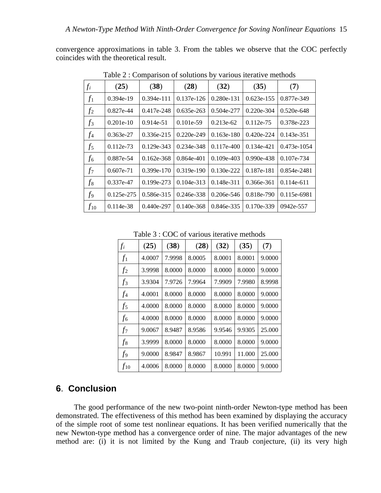convergence approximations in table 3. From the tables we observe that the COC perfectly coincides with the theoretical result.

| $f_i$          | (25)         | (38)           | (28)           | (32)           | (35)           | (7)           |
|----------------|--------------|----------------|----------------|----------------|----------------|---------------|
| $f_1$          | $0.394e-19$  | $0.394e-111$   | 0.137e-126     | 0.280e-131     | $0.623e-155$   | 0.877e-349    |
| f <sub>2</sub> | 0.827e-44    | $0.417e-248$   | $0.635e-263$   | 0.504e-277     | $0.220e - 304$ | $0.520e-648$  |
| $f_3$          | $0.201e-10$  | $0.914e-51$    | $0.101e-59$    | $0.213e-62$    | $0.112e-75$    | 0.378e-223    |
| $f_4$          | $0.363e-27$  | 0.336e-215     | $0.220e-249$   | $0.163e-180$   | $0.420e-224$   | $0.143e-351$  |
| $f_5$          | $0.112e-73$  | $0.129e - 343$ | 0.234e-348     | $0.117e-400$   | $0.134e-421$   | $0.473e-1054$ |
| $f_6$          | 0.887e-54    | $0.162e - 368$ | 0.864e-401     | $0.109e - 403$ | $0.990e-438$   | $0.107e-734$  |
| $f_7$          | $0.607e-71$  | $0.399e-170$   | $0.319e-190$   | $0.130e-222$   | 0.187e-181     | 0.854e-2481   |
| $f_8$          | 0.337e-47    | 0.199e-273     | 0.104e-313     | 0.148e-311     | 0.366e-361     | $0.114e-611$  |
| f <sub>9</sub> | $0.125e-275$ | 0.586e-315     | $0.246e - 338$ | $0.206e - 546$ | 0.818e-790     | 0.115e-6981   |
| $f_{10}$       | $0.114e-38$  | $0.440e-297$   | $0.140e - 368$ | 0.846e-335     | $0.170e - 339$ | 0942e-557     |

Table 2 : Comparison of solutions by various iterative methods

Table 3 : COC of various iterative methods

| $f_i$          | (25)   | (38)   | (28)   | (32)   | (35)   | (7)    |
|----------------|--------|--------|--------|--------|--------|--------|
| $f_1$          | 4.0007 | 7.9998 | 8.0005 | 8.0001 | 8.0001 | 9.0000 |
| f <sub>2</sub> | 3.9998 | 8.0000 | 8.0000 | 8.0000 | 8.0000 | 9.0000 |
| $f_3$          | 3.9304 | 7.9726 | 7.9964 | 7.9909 | 7.9980 | 8.9998 |
| $f_4$          | 4.0001 | 8.0000 | 8.0000 | 8.0000 | 8.0000 | 9.0000 |
| $f_5$          | 4.0000 | 8.0000 | 8.0000 | 8.0000 | 8.0000 | 9.0000 |
| $f_6$          | 4.0000 | 8.0000 | 8.0000 | 8.0000 | 8.0000 | 9.0000 |
| $f_7$          | 9.0067 | 8.9487 | 8.9586 | 9.9546 | 9.9305 | 25.000 |
| $f_8$          | 3.9999 | 8.0000 | 8.0000 | 8.0000 | 8.0000 | 9.0000 |
| f9             | 9.0000 | 8.9847 | 8.9867 | 10.991 | 11.000 | 25.000 |
| $f_{10}$       | 4.0006 | 8.0000 | 8.0000 | 8.0000 | 8.0000 | 9.0000 |

# **6**. **Conclusion**

The good performance of the new two-point ninth-order Newton-type method has been demonstrated. The effectiveness of this method has been examined by displaying the accuracy of the simple root of some test nonlinear equations. It has been verified numerically that the new Newton-type method has a convergence order of nine. The major advantages of the new method are: (i) it is not limited by the Kung and Traub conjecture, (ii) its very high